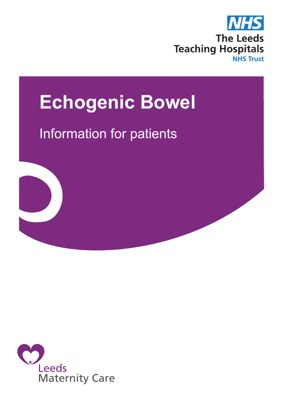

# **Echogenic Bowel**

# Information for patients



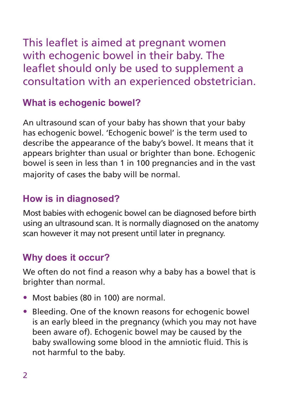This leaflet is aimed at pregnant women with echogenic bowel in their baby. The leaflet should only be used to supplement a consultation with an experienced obstetrician.

#### **What is echogenic bowel?**

An ultrasound scan of your baby has shown that your baby has echogenic bowel. 'Echogenic bowel' is the term used to describe the appearance of the baby's bowel. It means that it appears brighter than usual or brighter than bone. Echogenic bowel is seen in less than 1 in 100 pregnancies and in the vast majority of cases the baby will be normal.

#### **How is in diagnosed?**

Most babies with echogenic bowel can be diagnosed before birth using an ultrasound scan. It is normally diagnosed on the anatomy scan however it may not present until later in pregnancy.

#### **Why does it occur?**

We often do not find a reason why a baby has a bowel that is brighter than normal.

- Most babies (80 in 100) are normal.
- Bleeding. One of the known reasons for echogenic bowel is an early bleed in the pregnancy (which you may not have been aware of). Echogenic bowel may be caused by the baby swallowing some blood in the amniotic fluid. This is not harmful to the baby.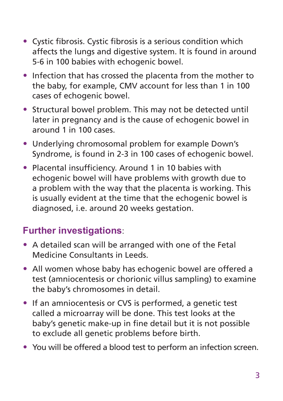- Cystic fibrosis. Cystic fibrosis is a serious condition which affects the lungs and digestive system. It is found in around 5-6 in 100 babies with echogenic bowel.
- Infection that has crossed the placenta from the mother to the baby, for example, CMV account for less than 1 in 100 cases of echogenic bowel.
- Structural bowel problem. This may not be detected until later in pregnancy and is the cause of echogenic bowel in around 1 in 100 cases.
- Underlying chromosomal problem for example Down's Syndrome, is found in 2-3 in 100 cases of echogenic bowel.
- Placental insufficiency. Around 1 in 10 babies with echogenic bowel will have problems with growth due to a problem with the way that the placenta is working. This is usually evident at the time that the echogenic bowel is diagnosed, i.e. around 20 weeks gestation.

## **Further investigations**:

- A detailed scan will be arranged with one of the Fetal Medicine Consultants in Leeds.
- All women whose baby has echogenic bowel are offered a test (amniocentesis or chorionic villus sampling) to examine the baby's chromosomes in detail.
- If an amniocentesis or CVS is performed, a genetic test called a microarray will be done. This test looks at the baby's genetic make-up in fine detail but it is not possible to exclude all genetic problems before birth.
- You will be offered a blood test to perform an infection screen.